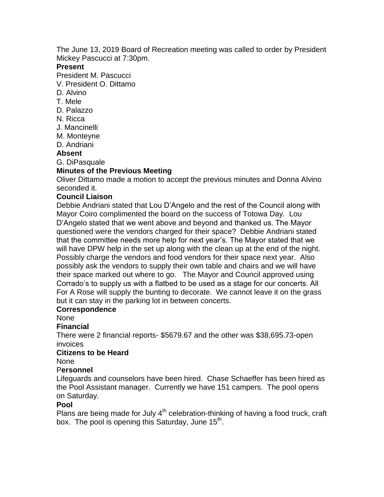The June 13, 2019 Board of Recreation meeting was called to order by President Mickey Pascucci at 7:30pm.

#### **Present**

President M. Pascucci

V. President O. Dittamo

- D. Alvino
- T. Mele
- D. Palazzo
- N. Ricca
- J. Mancinelli
- M. Monteyne
- D. Andriani

# **Absent**

G. DiPasquale

## **Minutes of the Previous Meeting**

Oliver Dittamo made a motion to accept the previous minutes and Donna Alvino seconded it.

## **Council Liaison**

Debbie Andriani stated that Lou D'Angelo and the rest of the Council along with Mayor Coiro complimented the board on the success of Totowa Day. Lou D'Angelo stated that we went above and beyond and thanked us. The Mayor questioned were the vendors charged for their space? Debbie Andriani stated that the committee needs more help for next year's. The Mayor stated that we will have DPW help in the set up along with the clean up at the end of the night. Possibly charge the vendors and food vendors for their space next year. Also possibly ask the vendors to supply their own table and chairs and we will have their space marked out where to go. The Mayor and Council approved using Corrado's to supply us with a flatbed to be used as a stage for our concerts. All For A Rose will supply the bunting to decorate. We cannot leave it on the grass but it can stay in the parking lot in between concerts.

## **Correspondence**

None

#### **Financial**

There were 2 financial reports- \$5679.67 and the other was \$38,695.73-open invoices

## **Citizens to be Heard**

None

## P**ersonnel**

Lifeguards and counselors have been hired. Chase Schaeffer has been hired as the Pool Assistant manager. Currently we have 151 campers. The pool opens on Saturday.

## **Pool**

Plans are being made for July  $4<sup>th</sup>$  celebration-thinking of having a food truck, craft box. The pool is opening this Saturday, June 15<sup>th</sup>.